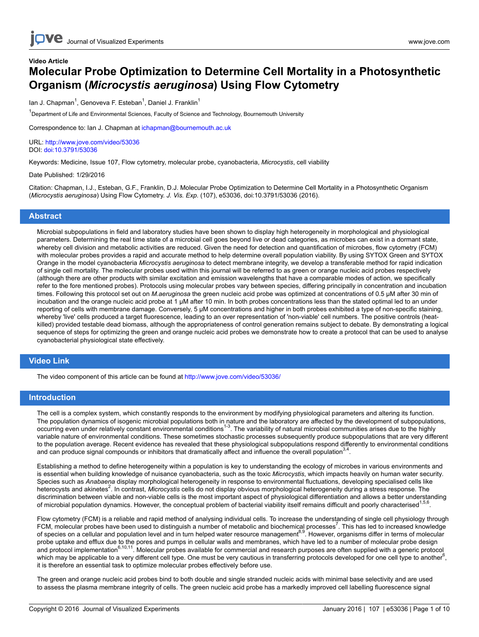# **Video Article Molecular Probe Optimization to Determine Cell Mortality in a Photosynthetic Organism (***Microcystis aeruginosa***) Using Flow Cytometry**

lan J. Chapman<sup>1</sup>, Genoveva F. Esteban<sup>1</sup>, Daniel J. Franklin<sup>1</sup>

<sup>1</sup>Department of Life and Environmental Sciences, Faculty of Science and Technology, Bournemouth University

Correspondence to: Ian J. Chapman at [ichapman@bournemouth.ac.uk](mailto:ichapman@bournemouth.ac.uk)

URL:<http://www.jove.com/video/53036> DOI: [doi:10.3791/53036](http://dx.doi.org/10.3791/53036)

Keywords: Medicine, Issue 107, Flow cytometry, molecular probe, cyanobacteria, *Microcystis*, cell viability

Date Published: 1/29/2016

Citation: Chapman, I.J., Esteban, G.F., Franklin, D.J. Molecular Probe Optimization to Determine Cell Mortality in a Photosynthetic Organism (*Microcystis aeruginosa*) Using Flow Cytometry. *J. Vis. Exp.* (107), e53036, doi:10.3791/53036 (2016).

#### **Abstract**

Microbial subpopulations in field and laboratory studies have been shown to display high heterogeneity in morphological and physiological parameters. Determining the real time state of a microbial cell goes beyond live or dead categories, as microbes can exist in a dormant state, whereby cell division and metabolic activities are reduced. Given the need for detection and quantification of microbes, flow cytometry (FCM) with molecular probes provides a rapid and accurate method to help determine overall population viability. By using SYTOX Green and SYTOX Orange in the model cyanobacteria *Microcystis aeruginosa* to detect membrane integrity, we develop a transferable method for rapid indication of single cell mortality. The molecular probes used within this journal will be referred to as green or orange nucleic acid probes respectively (although there are other products with similar excitation and emission wavelengths that have a comparable modes of action, we specifically refer to the fore mentioned probes). Protocols using molecular probes vary between species, differing principally in concentration and incubation times. Following this protocol set out on *M.aeruginosa* the green nucleic acid probe was optimized at concentrations of 0.5 µM after 30 min of incubation and the orange nucleic acid probe at 1 µM after 10 min. In both probes concentrations less than the stated optimal led to an under reporting of cells with membrane damage. Conversely, 5 µM concentrations and higher in both probes exhibited a type of non-specific staining, whereby 'live' cells produced a target fluorescence, leading to an over representation of 'non-viable' cell numbers. The positive controls (heatkilled) provided testable dead biomass, although the appropriateness of control generation remains subject to debate. By demonstrating a logical sequence of steps for optimizing the green and orange nucleic acid probes we demonstrate how to create a protocol that can be used to analyse cyanobacterial physiological state effectively.

#### **Video Link**

The video component of this article can be found at <http://www.jove.com/video/53036/>

### **Introduction**

The cell is a complex system, which constantly responds to the environment by modifying physiological parameters and altering its function. The population dynamics of isogenic microbial populations both in nature and the laboratory are affected by the development of subpopulations,<br>occurring even under relatively constant environmental conditions<sup>1-3</sup>. The var variable nature of environmental conditions. These sometimes stochastic processes subsequently produce subpopulations that are very different to the population average. Recent evidence has revealed that these physiological subpopulations respond differently to environmental conditions and can produce signal compounds or inhibitors that dramatically affect and influence the overall population<sup>3,4</sup>.

Establishing a method to define heterogeneity within a population is key to understanding the ecology of microbes in various environments and is essential when building knowledge of nuisance cyanobacteria, such as the toxic *Microcystis*, which impacts heavily on human water security*.* Species such as *Anabaena* display morphological heterogeneity in response to environmental fluctuations, developing specialised cells like heterocysts and akinetes<sup>2</sup>. In contrast, *Microcystis* cells do not display obvious morphological heterogeneity during a stress response. The discrimination between viable and non-viable cells is the most important aspect of physiological differentiation and allows a better understanding of microbial population dynamics. However, the conceptual problem of bacterial viability itself remains difficult and poorly characterised<sup>1,5,6</sup> .

Flow cytometry (FCM) is a reliable and rapid method of analysing individual cells. To increase the understanding of single cell physiology through FCM, molecular probes have been used to distinguish a number of metabolic and biochemical processes<sup>7</sup>. This has led to increased knowledge<br>of species on a cellular and population level and in turn helped water resource ma probe uptake and efflux due to the pores and pumps in cellular walls and membranes, which have led to a number of molecular probe design<br>and protocol implementation<sup>6,10,11</sup>. Molecular probes available for commercial and r which may be applicable to a very different cell type. One must be very cautious in transferring protocols developed for one cell type to another<sup>6</sup>, it is therefore an essential task to optimize molecular probes effectively before use.

The green and orange nucleic acid probes bind to both double and single stranded nucleic acids with minimal base selectivity and are used to assess the plasma membrane integrity of cells. The green nucleic acid probe has a markedly improved cell labelling fluorescence signal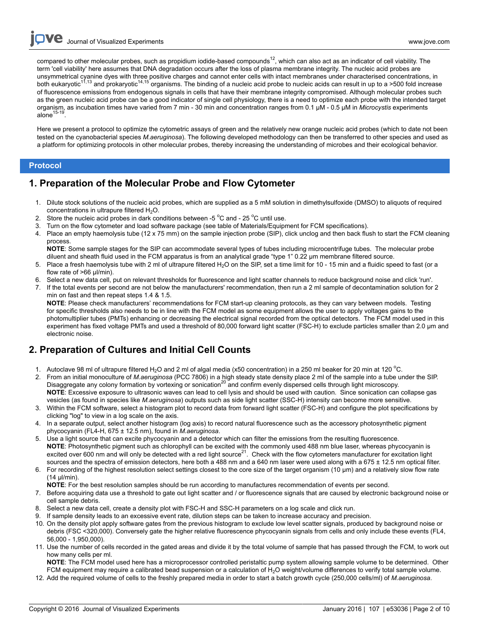**Dve** Journal of Visualized [Experiments](http://www.jove.com) [www.jove.com](http://www.jove.com)

compared to other molecular probes, such as propidium iodide-based compounds<sup>12</sup>, which can also act as an indicator of cell viability. The term 'cell viability' here assumes that DNA degradation occurs after the loss of plasma membrane integrity. The nucleic acid probes are unsymmetrical cyanine dyes with three positive charges and cannot enter cells with intact membranes under characterised concentrations, in<br>both eukaryotic<sup>11,13</sup> and prokaryotic<sup>14,15</sup> organisms. The binding of a nucleic a of fluorescence emissions from endogenous signals in cells that have their membrane integrity compromised. Although molecular probes such as the green nucleic acid probe can be a good indicator of single cell physiology, there is a need to optimize each probe with the intended target organism, as incubation times have varied from 7 min - 30 min and concentration ranges from 0.1 µM - 0.5 µM in *Microcystis* experiments alone $<sup>1</sup>$ </sup> .

Here we present a protocol to optimize the cytometric assays of green and the relatively new orange nucleic acid probes (which to date not been tested on the cyanobacterial species *M.aeruginosa*). The following developed methodology can then be transferred to other species and used as a platform for optimizing protocols in other molecular probes, thereby increasing the understanding of microbes and their ecological behavior.

### **Protocol**

## **1. Preparation of the Molecular Probe and Flow Cytometer**

- 1. Dilute stock solutions of the nucleic acid probes, which are supplied as a 5 mM solution in dimethylsulfoxide (DMSO) to aliquots of required concentrations in ultrapure filtered  $H_2O$ .
- 2. Store the nucleic acid probes in dark conditions between  $-5\,^{\circ}$ C and  $-25\,^{\circ}$ C until use.
- 3. Turn on the flow cytometer and load software package (see table of Materials/Equipment for FCM specifications).
- 4. Place an empty haemolysis tube (12 x 75 mm) on the sample injection probe (SIP), click unclog and then back flush to start the FCM cleaning process.

**NOTE**: Some sample stages for the SIP can accommodate several types of tubes including microcentrifuge tubes. The molecular probe diluent and sheath fluid used in the FCM apparatus is from an analytical grade "type 1" 0.22 µm membrane filtered source.

- 5. Place a fresh haemolysis tube with 2 ml of ultrapure filtered H<sub>2</sub>O on the SIP, set a time limit for 10 15 min and a fluidic speed to fast (or a flow rate of >66 ul/min).
- 6. Select a new data cell, put on relevant thresholds for fluorescence and light scatter channels to reduce background noise and click 'run'.
- 7. If the total events per second are not below the manufacturers' recommendation, then run a 2 ml sample of decontamination solution for 2 min on fast and then repeat steps 1.4 & 1.5.

**NOTE**: Please check manufacturers' recommendations for FCM start-up cleaning protocols, as they can vary between models. Testing for specific thresholds also needs to be in line with the FCM model as some equipment allows the user to apply voltages gains to the photomultiplier tubes (PMTs) enhancing or decreasing the electrical signal recorded from the optical detectors. The FCM model used in this experiment has fixed voltage PMTs and used a threshold of 80,000 forward light scatter (FSC-H) to exclude particles smaller than 2.0 µm and electronic noise.

## **2. Preparation of Cultures and Initial Cell Counts**

- 1. Autoclave 98 ml of ultrapure filtered H<sub>2</sub>O and 2 ml of algal media (x50 concentration) in a 250 ml beaker for 20 min at 120 °C.
- 2. From an initial monoculture of *M.aeruginosa* (PCC 7806) in a high steady state density place 2 ml of the sample into a tube under the SIP. Disaggregate any colony formation by vortexing or sonication<sup>20</sup> and confirm evenly dispersed cells through light microscopy. **NOTE**: Excessive exposure to ultrasonic waves can lead to cell lysis and should be used with caution. Since sonication can collapse gas vesicles (as found in species like *M.aeruginosa*) outputs such as side light scatter (SSC-H) intensity can become more sensitive.
- 3. Within the FCM software, select a histogram plot to record data from forward light scatter (FSC-H) and configure the plot specifications by clicking "log" to view in a log scale on the axis.
- 4. In a separate output, select another histogram (log axis) to record natural fluorescence such as the accessory photosynthetic pigment phycocyanin (FL4-H, 675 ± 12.5 nm), found in *M.aeruginosa*.
- 5. Use a light source that can excite phycocyanin and a detector which can filter the emissions from the resulting fluorescence. **NOTE**: Photosynthetic pigment such as chlorophyll can be excited with the commonly used 488 nm blue laser, whereas phycocyanin is<br>excited over 600 nm and will only be detected with a red light source<sup>21</sup>. Check with the sources and the spectra of emission detectors, here both a 488 nm and a 640 nm laser were used along with a 675 ± 12.5 nm optical filter.
- 6. For recording of the highest resolution select settings closest to the core size of the target organism (10 µm) and a relatively slow flow rate  $(14 \text{ ul/min})$ .
	- **NOTE**: For the best resolution samples should be run according to manufactures recommendation of events per second.
- 7. Before acquiring data use a threshold to gate out light scatter and / or fluorescence signals that are caused by electronic background noise or cell sample debris.
- 8. Select a new data cell, create a density plot with FSC-H and SSC-H parameters on a log scale and click run.
- 9. If sample density leads to an excessive event rate, dilution steps can be taken to increase accuracy and precision.
- 10. On the density plot apply software gates from the previous histogram to exclude low level scatter signals, produced by background noise or debris (FSC <320,000). Conversely gate the higher relative fluorescence phycocyanin signals from cells and only include these events (FL4, 56,000 - 1,950,000).
- 11. Use the number of cells recorded in the gated areas and divide it by the total volume of sample that has passed through the FCM, to work out how many cells per ml.

**NOTE**: The FCM model used here has a microprocessor controlled peristaltic pump system allowing sample volume to be determined. Other FCM equipment may require a calibrated bead suspension or a calculation of H<sub>2</sub>O weight/volume differences to verify total sample volume.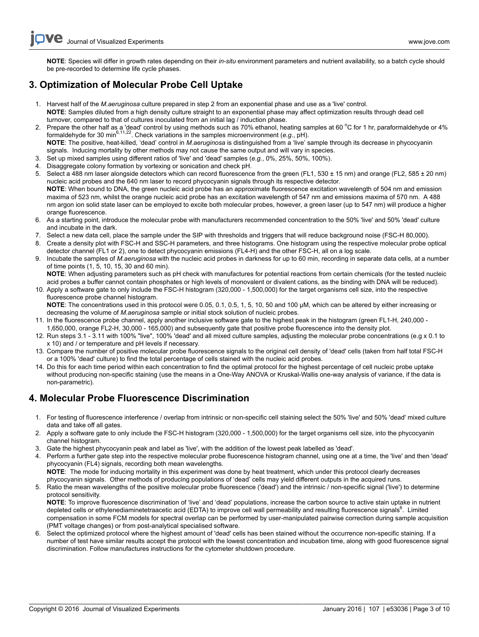**NOTE**: Species will differ in growth rates depending on their *in-situ* environment parameters and nutrient availability, so a batch cycle should be pre-recorded to determine life cycle phases.

# **3. Optimization of Molecular Probe Cell Uptake**

- 1. Harvest half of the *M.aeruginosa* culture prepared in step 2 from an exponential phase and use as a 'live' control. **NOTE**: Samples diluted from a high density culture straight to an exponential phase may affect optimization results through dead cell turnover, compared to that of cultures inoculated from an initial lag / induction phase.
- 2. Prepare the other half as a 'dead' control by using methods such as 70% ethanol, heating samples at 60  $^{\circ}$ C for 1 hr, paraformaldehyde or 4% formaldehyde for 30 min<sup>6,11,22</sup>. Check variations in the samples microenvironment (e.g., pH). **NOTE**: The positive, heat-killed, 'dead' control in *M.aeruginosa* is distinguished from a 'live' sample through its decrease in phycocyanin
- signals. Inducing mortality by other methods may not cause the same output and will vary in species.
- 3. Set up mixed samples using different ratios of 'live' and 'dead' samples (*e.g.*, 0%, 25%, 50%, 100%).
- 4. Disaggregate colony formation by vortexing or sonication and check pH.
- 5. Select a 488 nm laser alongside detectors which can record fluorescence from the green (FL1, 530 ± 15 nm) and orange (FL2, 585 ± 20 nm) nucleic acid probes and the 640 nm laser to record phycocyanin signals through its respective detector. **NOTE**: When bound to DNA, the green nucleic acid probe has an approximate fluorescence excitation wavelength of 504 nm and emission maxima of 523 nm, whilst the orange nucleic acid probe has an excitation wavelength of 547 nm and emissions maxima of 570 nm. A 488 nm argon ion solid state laser can be employed to excite both molecular probes, however, a green laser (up to 547 nm) will produce a higher orange fluorescence.
- 6. As a starting point, introduce the molecular probe with manufacturers recommended concentration to the 50% 'live' and 50% 'dead' culture and incubate in the dark.
- 7. Select a new data cell, place the sample under the SIP with thresholds and triggers that will reduce background noise (FSC-H 80,000).
- 8. Create a density plot with FSC-H and SSC-H parameters, and three histograms. One histogram using the respective molecular probe optical detector channel (FL1 or 2), one to detect phycocyanin emissions (FL4-H) and the other FSC-H, all on a log scale.
- 9. Incubate the samples of *M.aeruginosa* with the nucleic acid probes in darkness for up to 60 min, recording in separate data cells, at a number of time points (1, 5, 10, 15, 30 and 60 min). **NOTE**: When adjusting parameters such as pH check with manufactures for potential reactions from certain chemicals (for the tested nucleic
- acid probes a buffer cannot contain phosphates or high levels of monovalent or divalent cations, as the binding with DNA will be reduced). 10. Apply a software gate to only include the FSC-H histogram (320,000 - 1,500,000) for the target organisms cell size, into the respective fluorescence probe channel histogram. **NOTE**: The concentrations used in this protocol were 0.05, 0.1, 0.5, 1, 5, 10, 50 and 100 µM, which can be altered by either increasing or decreasing the volume of *M.aeruginosa* sample or initial stock solution of nucleic probes.
- 11. In the fluorescence probe channel, apply another inclusive software gate to the highest peak in the histogram (green FL1-H, 240,000 1,650,000, orange FL2-H, 30,000 - 165,000) and subsequently gate that positive probe fluorescence into the density plot.
- 12. Run steps 3.1 3.11 with 100% "live", 100% 'dead' and all mixed culture samples, adjusting the molecular probe concentrations (e.g x 0.1 to x 10) and / or temperature and pH levels if necessary.
- 13. Compare the number of positive molecular probe fluorescence signals to the original cell density of 'dead' cells (taken from half total FSC-H or a 100% 'dead' culture) to find the total percentage of cells stained with the nucleic acid probes.
- 14. Do this for each time period within each concentration to find the optimal protocol for the highest percentage of cell nucleic probe uptake without producing non-specific staining (use the means in a One-Way ANOVA or Kruskal-Wallis one-way analysis of variance, if the data is non-parametric).

# **4. Molecular Probe Fluorescence Discrimination**

- 1. For testing of fluorescence interference / overlap from intrinsic or non-specific cell staining select the 50% 'live' and 50% 'dead' mixed culture data and take off all gates.
- 2. Apply a software gate to only include the FSC-H histogram (320,000 1,500,000) for the target organisms cell size, into the phycocyanin channel histogram.
- 3. Gate the highest phycocyanin peak and label as 'live', with the addition of the lowest peak labelled as 'dead'.
- 4. Perform a further gate step into the respective molecular probe fluorescence histogram channel, using one at a time, the 'live' and then 'dead' phycocyanin (FL4) signals, recording both mean wavelengths. **NOTE**: The mode for inducing mortality in this experiment was done by heat treatment, which under this protocol clearly decreases phycocyanin signals. Other methods of producing populations of 'dead' cells may yield different outputs in the acquired runs.
- 5. Ratio the mean wavelengths of the positive molecular probe fluorescence ('dead') and the intrinsic / non-specific signal ('live') to determine protocol sensitivity.

**NOTE**: To improve fluorescence discrimination of 'live' and 'dead' populations, increase the carbon source to active stain uptake in nutrient depleted cells or ethylenediaminetetraacetic acid (EDTA) to improve cell wall permeability and resulting fluorescence signals<sup>6</sup>. Limited compensation in some FCM models for spectral overlap can be performed by user-manipulated pairwise correction during sample acquisition (PMT voltage changes) or from post-analytical specialised software.

6. Select the optimized protocol where the highest amount of 'dead' cells has been stained without the occurrence non-specific staining. If a number of test have similar results accept the protocol with the lowest concentration and incubation time, along with good fluorescence signal discrimination. Follow manufactures instructions for the cytometer shutdown procedure.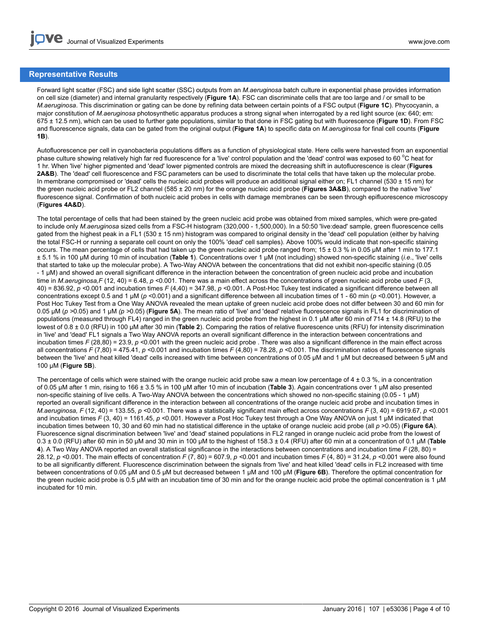### **Representative Results**

Forward light scatter (FSC) and side light scatter (SSC) outputs from an *M.aeruginosa* batch culture in exponential phase provides information on cell size (diameter) and internal granularity respectively (**Figure 1A**). FSC can discriminate cells that are too large and / or small to be *M.aeruginosa*. This discrimination or gating can be done by refining data between certain points of a FSC output (**Figure 1C**). Phycocyanin, a major constitution of *M.aeruginosa* photosynthetic apparatus produces a strong signal when interrogated by a red light source (ex: 640; em: 675 ± 12.5 nm), which can be used to further gate populations, similar to that done in FSC gating but with fluorescence (**Figure 1D**). From FSC and fluorescence signals, data can be gated from the original output (**Figure 1A**) to specific data on *M.aeruginosa* for final cell counts (**Figure 1B**).

Autofluorescence per cell in cyanobacteria populations differs as a function of physiological state. Here cells were harvested from an exponential phase culture showing relatively high far red fluorescence for a 'live' control population and the 'dead' control was exposed to 60 °C heat for 1 hr. When 'live' higher pigmented and 'dead' lower pigmented controls are mixed the decreasing shift in autofluorescence is clear (**Figures 2A&B**). The 'dead' cell fluorescence and FSC parameters can be used to discriminate the total cells that have taken up the molecular probe. In membrane compromised or 'dead' cells the nucleic acid probes will produce an additional signal either on; FL1 channel (530 ± 15 nm) for the green nucleic acid probe or FL2 channel (585 ± 20 nm) for the orange nucleic acid probe (**Figures 3A&B**), compared to the native 'live' fluorescence signal. Confirmation of both nucleic acid probes in cells with damage membranes can be seen through epifluorescence microscopy (**Figures 4A&D**).

The total percentage of cells that had been stained by the green nucleic acid probe was obtained from mixed samples, which were pre-gated to include only *M.aeruginosa* sized cells from a FSC-H histogram (320,000 - 1,500,000). In a 50:50 'live:dead' sample, green fluorescence cells gated from the highest peak in a FL1 (530 ± 15 nm) histogram was compared to original density in the 'dead' cell population (either by halving the total FSC-H or running a separate cell count on only the 100% 'dead' cell samples). Above 100% would indicate that non-specific staining occurs. The mean percentage of cells that had taken up the green nucleic acid probe ranged from; 15 ± 0.3 % in 0.05 µM after 1 min to 177.1 ± 5.1 % in 100 µM during 10 min of incubation (**Table 1**). Concentrations over 1 µM (not including) showed non-specific staining (*i.e*., 'live' cells that started to take up the molecular probe). A Two-Way ANOVA between the concentrations that did not exhibit non-specific staining (0.05 - 1 µM) and showed an overall significant difference in the interaction between the concentration of green nucleic acid probe and incubation time in *M.aeruginosa,F* (12, 40) = 6.48, *p <*0.001. There was a main effect across the concentrations of green nucleic acid probe used *F* (3, 40) = 836.92, *p <*0.001 and incubation times *F* (4,40) = 347.98, *p <*0.001. A Post-Hoc Tukey test indicated a significant difference between all concentrations except 0.5 and 1 µM (*p <*0.001) and a significant difference between all incubation times of 1 - 60 min (*p <*0.001). However, a Post Hoc Tukey Test from a One Way ANOVA revealed the mean uptake of green nucleic acid probe does not differ between 30 and 60 min for 0.05 µM (*p >*0.05) and 1 µM *(p >*0.05) (**Figure 5A**). The mean ratio of 'live' and 'dead' relative fluorescence signals in FL1 for discrimination of populations (measured through FL4) ranged in the green nucleic acid probe from the highest in 0.1 µM after 60 min of 714 ± 14.8 (RFU) to the lowest of 0.8 ± 0.0 (RFU) in 100 µM after 30 min (**Table 2**). Comparing the ratios of relative fluorescence units (RFU) for intensity discrimination in 'live' and 'dead' FL1 signals a Two Way ANOVA reports an overall significant difference in the interaction between concentrations and incubation times *F* (28,80) = 23.9, *p <*0.001 with the green nucleic acid probe . There was also a significant difference in the main effect across all concentrations *F* (7,80) = 475.41, *p <*0.001 and incubation times *F* (4,80) = 78.28, *p <*0.001. The discrimination ratios of fluorescence signals between the 'live' and heat killed 'dead' cells increased with time between concentrations of 0.05 µM and 1 µM but decreased between 5 µM and 100 µM (**Figure 5B**).

The percentage of cells which were stained with the orange nucleic acid probe saw a mean low percentage of 4 ± 0.3 %, in a concentration of 0.05 µM after 1 min, rising to 166 ± 3.5 % in 100 µM after 10 min of incubation (**Table 3**). Again concentrations over 1 µM also presented non-specific staining of live cells. A Two-Way ANOVA between the concentrations which showed no non-specific staining (0.05 - 1 µM) reported an overall significant difference in the interaction between all concentrations of the orange nucleic acid probe and incubation times in *M.aeruginosa, F* (12, 40) = 133.55, *p <*0.001. There was a statistically significant main effect across concentrations *F* (3, 40) = 6919.67, *p <*0.001 and incubation times *F* (3, 40) = 1161.45, *p <*0.001. However a Post Hoc Tukey test through a One Way ANOVA on just 1 µM indicated that incubation times between 10, 30 and 60 min had no statistical difference in the uptake of orange nucleic acid probe (all *p* >0.05) (**Figure 6A**). Fluorescence signal discrimination between 'live' and 'dead' stained populations in FL2 ranged in orange nucleic acid probe from the lowest of 0.3 ± 0.0 (RFU) after 60 min in 50 µM and 30 min in 100 µM to the highest of 158.3 ± 0.4 (RFU) after 60 min at a concentration of 0.1 µM (**Table 4**). A Two Way ANOVA reported an overall statistical significance in the interactions between concentrations and incubation time *F* (28, 80) = 28.12, *p <*0.001. The main effects of concentration *F* (7, 80) = 607.9, *p <*0.001 and incubation times *F* (4, 80) = 31.24, *p <*0.001 were also found to be all significantly different. Fluorescence discrimination between the signals from 'live' and heat killed 'dead' cells in FL2 increased with time between concentrations of 0.05 µM and 0.5 µM but decreased between 1 µM and 100 µM (**Figure 6B**). Therefore the optimal concentration for the green nucleic acid probe is 0.5 µM with an incubation time of 30 min and for the orange nucleic acid probe the optimal concentration is 1 µM incubated for 10 min.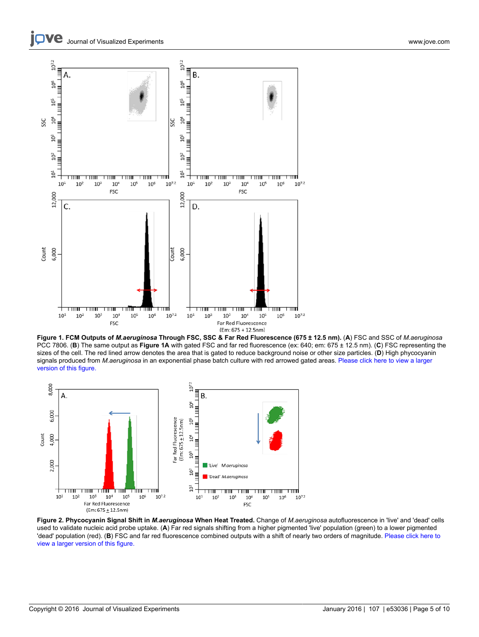

**Figure 1. FCM Outputs of** *M.aeruginosa* **Through FSC, SSC & Far Red Fluorescence (675 ± 12.5 nm).** (**A**) FSC and SSC of *M.aeruginosa* PCC 7806. (**B**) The same output as **Figure 1A** with gated FSC and far red fluorescence (ex: 640; em: 675 ± 12.5 nm). (**C**) FSC representing the sizes of the cell. The red lined arrow denotes the area that is gated to reduce background noise or other size particles. (**D**) High phycocyanin signals produced from *M.aeruginosa* in an exponential phase batch culture with red arrowed gated areas. [Please click here to view a larger](https://www.jove.com/files/ftp_upload/53036/53036fig1large.jpg) [version of this figure.](https://www.jove.com/files/ftp_upload/53036/53036fig1large.jpg)



**Figure 2. Phycocyanin Signal Shift in** *M.aeruginosa* **When Heat Treated.** Change of *M.aeruginosa* autofluorescence in 'live' and 'dead' cells used to validate nucleic acid probe uptake. (**A**) Far red signals shifting from a higher pigmented 'live' population (green) to a lower pigmented 'dead' population (red). (B) FSC and far red fluorescence combined outputs with a shift of nearly two orders of magnitude. [Please click here to](https://www.jove.com/files/ftp_upload/53036/53036fig2large.jpg) [view a larger version of this figure.](https://www.jove.com/files/ftp_upload/53036/53036fig2large.jpg)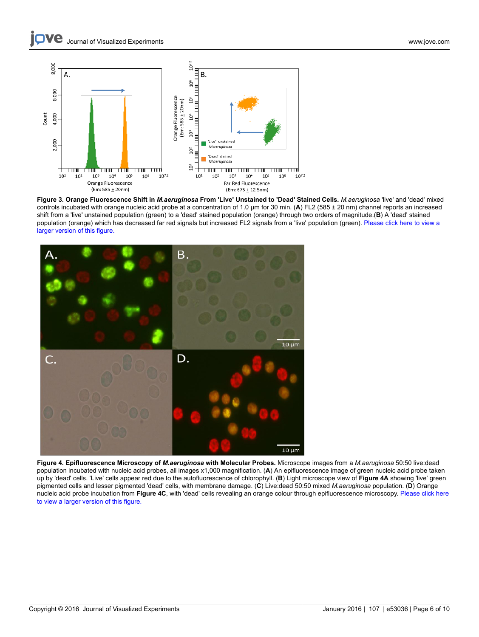

**Figure 3. Orange Fluorescence Shift in** *M.aeruginosa* **From 'Live' Unstained to 'Dead' Stained Cells***. M.aeruginosa* 'live' and 'dead' mixed controls incubated with orange nucleic acid probe at a concentration of 1.0 µm for 30 min. (**A**) FL2 (585 ± 20 nm) channel reports an increased shift from a 'live' unstained population (green) to a 'dead' stained population (orange) through two orders of magnitude.(**B**) A 'dead' stained population (orange) which has decreased far red signals but increased FL2 signals from a 'live' population (green). [Please click here to view a](https://www.jove.com/files/ftp_upload/53036/53036fig3large.jpg) [larger version of this figure.](https://www.jove.com/files/ftp_upload/53036/53036fig3large.jpg)



**Figure 4. Epifluorescence Microscopy of** *M.aeruginosa* **with Molecular Probes.** Microscope images from a *M.aeruginosa* 50:50 live:dead population incubated with nucleic acid probes, all images x1,000 magnification. (**A**) An epifluorescence image of green nucleic acid probe taken up by 'dead' cells. 'Live' cells appear red due to the autofluorescence of chlorophyll. (**B**) Light microscope view of **Figure 4A** showing 'live' green pigmented cells and lesser pigmented 'dead' cells, with membrane damage. (**C**) Live:dead 50:50 mixed *M.aeruginosa* population. (**D**) Orange nucleic acid probe incubation from **Figure 4C**, with 'dead' cells revealing an orange colour through epifluorescence microscopy. [Please click here](https://www.jove.com/files/ftp_upload/53036/53036fig4large.jpg) [to view a larger version of this figure.](https://www.jove.com/files/ftp_upload/53036/53036fig4large.jpg)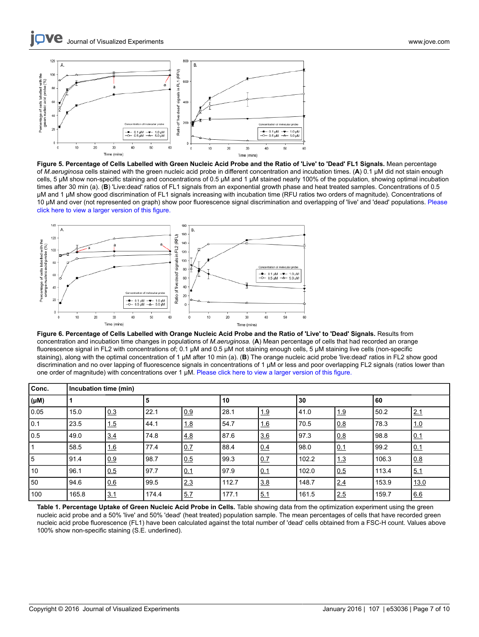

**Figure 5. Percentage of Cells Labelled with Green Nucleic Acid Probe and the Ratio of 'Live' to 'Dead' FL1 Signals.** Mean percentage of *M.aeruginosa* cells stained with the green nucleic acid probe in different concentration and incubation times. (**A**) 0.1 µM did not stain enough cells, 5 µM show non-specific staining and concentrations of 0.5 µM and 1 µM stained nearly 100% of the population, showing optimal incubation times after 30 min (a). (**B**) 'Live:dead' ratios of FL1 signals from an exponential growth phase and heat treated samples. Concentrations of 0.5 µM and 1 µM show good discrimination of FL1 signals increasing with incubation time (RFU ratios two orders of magnitude). Concentrations of 10 µM and over (not represented on graph) show poor fluorescence signal discrimination and overlapping of 'live' and 'dead' populations. [Please](https://www.jove.com/files/ftp_upload/53036/53036fig5large.jpg) [click here to view a larger version of this figure.](https://www.jove.com/files/ftp_upload/53036/53036fig5large.jpg)



**Figure 6. Percentage of Cells Labelled with Orange Nucleic Acid Probe and the Ratio of 'Live' to 'Dead' Signals.** Results from concentration and incubation time changes in populations of *M.aeruginosa.* (**A**) Mean percentage of cells that had recorded an orange fluorescence signal in FL2 with concentrations of; 0.1 µM and 0.5 µM not staining enough cells, 5 µM staining live cells (non-specific staining), along with the optimal concentration of 1 µM after 10 min (a). (**B**) The orange nucleic acid probe 'live:dead' ratios in FL2 show good discrimination and no over lapping of fluorescence signals in concentrations of 1 µM or less and poor overlapping FL2 signals (ratios lower than one order of magnitude) with concentrations over 1 µM. [Please click here to view a larger version of this figure.](https://www.jove.com/files/ftp_upload/53036/53036fig6large.jpg)

| Conc.          | Incubation time (min) |     |       |     |       |                  |       |     |       |      |  |
|----------------|-----------------------|-----|-------|-----|-------|------------------|-------|-----|-------|------|--|
| $(\mu M)$      |                       |     | 5     |     | 10    |                  | 30    |     | 60    |      |  |
| 0.05           | 15.0                  | 0.3 | 22.1  | 0.9 | 28.1  | 1.9              | 41.0  | 1.9 | 50.2  | 2.1  |  |
| 0.1            | 23.5                  | 1.5 | 44.1  | 1.8 | 54.7  | 1.6              | 70.5  | 0.8 | 78.3  | 1.0  |  |
| 0.5            | 49.0                  | 3.4 | 74.8  | 4.8 | 87.6  | 3.6              | 97.3  | 0.8 | 98.8  | 0.1  |  |
|                | 58.5                  | 1.6 | 77.4  | 0.7 | 88.4  | 0.4              | 98.0  | 0.1 | 99.2  | 0.1  |  |
| $\overline{5}$ | 91.4                  | 0.9 | 98.7  | 0.5 | 99.3  | 0.7              | 102.2 | 1.3 | 106.3 | 0.8  |  |
| 10             | 96.1                  | 0.5 | 97.7  | 0.1 | 97.9  | $\overline{0.1}$ | 102.0 | 0.5 | 113.4 | 5.1  |  |
| 50             | 94.6                  | 0.6 | 99.5  | 2.3 | 112.7 | 3.8              | 148.7 | 2.4 | 153.9 | 13.0 |  |
| 100            | 165.8                 | 3.1 | 174.4 | 5.7 | 177.1 | 5.1              | 161.5 | 2.5 | 159.7 | 6.6  |  |

**Table 1. Percentage Uptake of Green Nucleic Acid Probe in Cells.** Table showing data from the optimization experiment using the green nucleic acid probe and a 50% 'live' and 50% 'dead' (heat treated) population sample. The mean percentages of cells that have recorded green nucleic acid probe fluorescence (FL1) have been calculated against the total number of 'dead' cells obtained from a FSC-H count. Values above 100% show non-specific staining (S.E. underlined).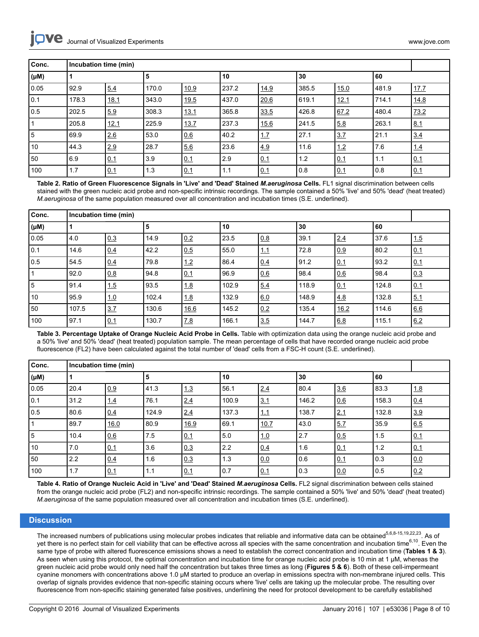| Conc.          | Incubation time (min) |             |       |      |       |      |       |            |       |      |
|----------------|-----------------------|-------------|-------|------|-------|------|-------|------------|-------|------|
| $(\mu M)$      |                       |             | 5     |      | 10    |      | 30    |            | 60    |      |
| 0.05           | 92.9                  | 5.4         | 170.0 | 10.9 | 237.2 | 14.9 | 385.5 | 15.0       | 481.9 | 17.7 |
| 0.1            | 178.3                 | 18.1        | 343.0 | 19.5 | 437.0 | 20.6 | 619.1 | 12.1       | 714.1 | 14.8 |
| 0.5            | 202.5                 | 5.9         | 308.3 | 13.1 | 365.8 | 33.5 | 426.8 | 67.2       | 480.4 | 73.2 |
|                | 205.8                 | <u>12.1</u> | 225.9 | 13.7 | 237.3 | 15.6 | 241.5 | 5.8        | 263.1 | 8.1  |
| $\overline{5}$ | 69.9                  | 2.6         | 53.0  | 0.6  | 40.2  | 1.7  | 27.1  | 3.7        | 21.1  | 3.4  |
| 10             | 44.3                  | 2.9         | 28.7  | 5.6  | 23.6  | 4.9  | 11.6  | <u>1.2</u> | 7.6   | 1.4  |
| 50             | 6.9                   | 0.1         | 3.9   | 0.1  | 2.9   | 0.1  | 1.2   | 0.1        | 1.1   | 0.1  |
| 100            | 1.7                   | 0.1         | 1.3   | 0.1  | 1.1   | 0.1  | 0.8   | <u>0.1</u> | 0.8   | 0.1  |

Table 2. Ratio of Green Fluorescence Signals in 'Live' and 'Dead' Stained M.aeruginosa Cells. FL1 signal discrimination between cells stained with the green nucleic acid probe and non-specific intrinsic recordings. The sample contained a 50% 'live' and 50% 'dead' (heat treated) *M.aeruginosa* of the same population measured over all concentration and incubation times (S.E. underlined).

| Conc.        | Incubation time (min) |            |       |            |       |     |       |      |       |             |
|--------------|-----------------------|------------|-------|------------|-------|-----|-------|------|-------|-------------|
| $(\mu M)$    |                       |            | 5     |            | 10    |     | 30    |      | 60    |             |
| 0.05         | 4.0                   | 0.3        | 14.9  | 0.2        | 23.5  | 0.8 | 39.1  | 2.4  | 37.6  | <u> 1.5</u> |
| $\vert$ 0.1  | 14.6                  | 0.4        | 42.2  | 0.5        | 55.0  | 1.1 | 72.8  | 0.9  | 180.2 | 0.1         |
| 0.5          | 54.5                  | 0.4        | 79.8  | 1.2        | 86.4  | 0.4 | 91.2  | 0.1  | 193.2 | 0.1         |
| $\mathbf{1}$ | 92.0                  | 0.8        | 94.8  | 0.1        | 96.9  | 0.6 | 98.4  | 0.6  | 198.4 | 0.3         |
| 5            | 91.4                  | 1.5        | 93.5  | 1.8        | 102.9 | 5.4 | 118.9 | 0.1  | 124.8 | 0.1         |
| 10           | 95.9                  | <u>1.0</u> | 102.4 | <u>1.8</u> | 132.9 | 6.0 | 148.9 | 4.8  | 132.8 | 5.1         |
| 50           | 107.5                 | 3.7        | 130.6 | 16.6       | 145.2 | 0.2 | 135.4 | 16.2 | 114.6 | 66          |
| 100          | 97.1                  | 0.1        | 130.7 | <u>7.8</u> | 166.1 | 3.5 | 144.7 | 6.8  | 115.1 | 6.2         |

**Table 3. Percentage Uptake of Orange Nucleic Acid Probe in Cells.** Table with optimization data using the orange nucleic acid probe and a 50% 'live' and 50% 'dead' (heat treated) population sample. The mean percentage of cells that have recorded orange nucleic acid probe fluorescence (FL2) have been calculated against the total number of 'dead' cells from a FSC-H count (S.E. underlined).

| Conc.          | Incubation time (min) |      |       |      |       |                  |       |     |       |            |
|----------------|-----------------------|------|-------|------|-------|------------------|-------|-----|-------|------------|
| $(\mu M)$      |                       |      | 5     |      | 10    |                  | 30    |     | 60    |            |
| 0.05           | 20.4                  | 0.9  | 41.3  | 1.3  | 56.1  | 2.4              | 80.4  | 3.6 | 83.3  | <u>1.8</u> |
| 0.1            | 31.2                  | 1.4  | 76.1  | 2.4  | 100.9 | 3.1              | 146.2 | 0.6 | 158.3 | 0.4        |
| 0.5            | 80.6                  | 0.4  | 124.9 | 2.4  | 137.3 | 1.1              | 138.7 | 2.1 | 132.8 | 3.9        |
|                | 89.7                  | 16.0 | 80.9  | 16.9 | 69.1  | 10.7             | 43.0  | 5.7 | 35.9  | 6.5        |
| $\overline{5}$ | 10.4                  | 0.6  | 7.5   | 0.1  | 5.0   | 1.0              | 2.7   | 0.5 | 1.5   | 0.1        |
| 10             | 7.0                   | 0.1  | 3.6   | 0.3  | 2.2   | 0.4              | 1.6   | 0.1 | 1.2   | 0.1        |
| 50             | 2.2                   | 0.4  | 1.6   | 0.3  | 1.3   | $\overline{0.0}$ | 0.6   | 0.1 | 10.3  | 0.0        |
| 100            | 1.7                   | 0.1  | 1.1   | 0.1  | 0.7   | 0.1              | 0.3   | 0.0 | 0.5   | 0.2        |

Table 4. Ratio of Orange Nucleic Acid in 'Live' and 'Dead' Stained M.aeruginosa Cells. FL2 signal discrimination between cells stained from the orange nucleic acid probe (FL2) and non-specific intrinsic recordings. The sample contained a 50% 'live' and 50% 'dead' (heat treated) *M.aeruginosa* of the same population measured over all concentration and incubation times (S.E. underlined).

### **Discussion**

The increased numbers of publications using molecular probes indicates that reliable and informative data can be obtained<sup>5,6,8-15,19,22,23</sup>. As of yet there is no perfect stain for cell viability that can be effective across all species with the same concentration and incubation time<sup>6,10</sup>. Even the same type of probe with altered fluorescence emissions shows a need to establish the correct concentration and incubation time (**Tables 1 & 3**). As seen when using this protocol, the optimal concentration and incubation time for orange nucleic acid probe is 10 min at 1 µM, whereas the green nucleic acid probe would only need half the concentration but takes three times as long (**Figures 5 & 6**). Both of these cell-impermeant cyanine monomers with concentrations above 1.0  $\mu$ M started to produce an overlap in emissions spectra with non-membrane injured cells. This overlap of signals provides evidence that non-specific staining occurs where 'live' cells are taking up the molecular probe. The resulting over fluorescence from non-specific staining generated false positives, underlining the need for protocol development to be carefully established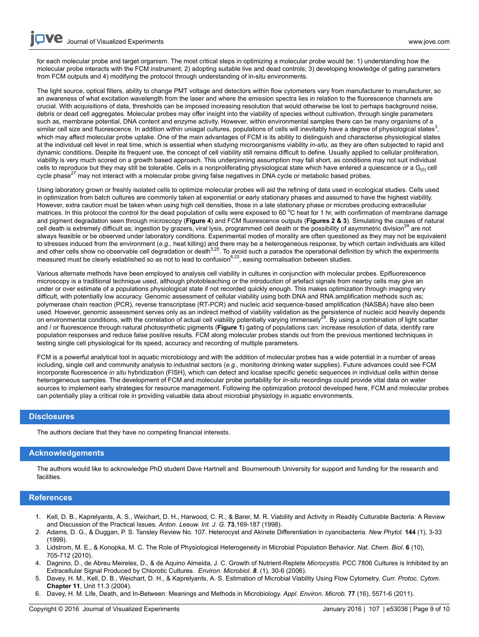for each molecular probe and target organism. The most critical steps in optimizing a molecular probe would be: 1) understanding how the molecular probe interacts with the FCM instrument; 2) adopting suitable live and dead controls; 3) developing knowledge of gating parameters from FCM outputs and 4) modifying the protocol through understanding of in-situ environments.

The light source, optical filters, ability to change PMT voltage and detectors within flow cytometers vary from manufacturer to manufacturer, so an awareness of what excitation wavelength from the laser and where the emission spectra lies in relation to the fluorescence channels are crucial. With acquisitions of data, thresholds can be imposed increasing resolution that would otherwise be lost to perhaps background noise, debris or dead cell aggregates. Molecular probes may offer insight into the viability of species without cultivation, through single parameters such as, membrane potential, DNA content and enzyme activity. However, within environmental samples there can be many organisms of a similar cell size and fluorescence. In addition within uniagal cultures, populations of cells will inevitably have a degree of physiological states<sup>3</sup>, which may affect molecular probe uptake. One of the main advantages of FCM is its ability to distinguish and characterise physiological states at the individual cell level in real time, which is essential when studying microorganisms viability *in-situ,* as they are often subjected to rapid and dynamic conditions. Despite its frequent use, the concept of cell viability still remains difficult to define. Usually applied to cellular proliferation, viability is very much scored on a growth based approach. This underpinning assumption may fall short, as conditions may not suit individual cells to reproduce but they may still be tolerable. Cells in a nonproliferating physiological state which have entered a quiescence or a  $G_{(0)}$  cell cycle phase<sup>27</sup> may not interact with a molecular probe giving false negatives in DNA cycle or metabolic based probes.

Using laboratory grown or freshly isolated cells to optimize molecular probes will aid the refining of data used in ecological studies. Cells used in optimization from batch cultures are commonly taken at exponential or early stationary phases and assumed to have the highest viability. However, extra caution must be taken when using high cell densities, those in a late stationary phase or microbes producing extracellular matrices. In this protocol the control for the dead population of cells were exposed to 60 °C heat for 1 hr, with confirmation of membrane damage and pigment degradation seen through microscopy (**Figure 4**) and FCM fluorescence outputs (**Figures 2 & 3**). Simulating the causes of natural cell death is extremely difficult as; ingestion by grazers, viral lysis, programmed cell death or the possibility of asymmetric division<sup>24</sup> are not always feasible or be observed under laboratory conditions. Experimental modes of morality are often questioned as they may not be equivalent to stresses induced from the environment (*e.g.,* heat killing) and there may be a heterogeneous response, by which certain individuals are killed<br>and other cells show no observable cell degradation or death<sup>3,25</sup>. To avoi

Various alternate methods have been employed to analysis cell viability in cultures in conjunction with molecular probes. Epifluorescence microscopy is a traditional technique used, although photobleaching or the introduction of artefact signals from nearby cells may give an under or over estimate of a populations physiological state if not recorded quickly enough. This makes optimization through imaging very difficult, with potentially low accuracy. Genomic assessment of cellular viability using both DNA and RNA amplification methods such as; polymerase chain reaction (PCR), reverse transcriptase (RT-PCR) and nucleic acid sequence-based amplification (NASBA) have also been used. However, genomic assessment serves only as an indirect method of viability validation as the persistence of nucleic acid heavily depends on environmental conditions, with the correlation of actual cell viability potentially varying immensely<sup>28</sup>. By using a combination of light scatter and / or fluorescence through natural photosynthetic pigments (**Figure 1**) gating of populations can: increase resolution of data, identify rare population responses and reduce false positive results. FCM along molecular probes stands out from the previous mentioned techniques in testing single cell physiological for its speed, accuracy and recording of multiple parameters.

FCM is a powerful analytical tool in aquatic microbiology and with the addition of molecular probes has a wide potential in a number of areas including, single cell and community analysis to industrial sectors (*e.g*., monitoring drinking water supplies). Future advances could see FCM incorporate fluorescence *in situ* hybridization (FISH), which can detect and localise specific genetic sequences in individual cells within dense heterogeneous samples. The development of FCM and molecular probe portability for *in-situ* recordings could provide vital data on water sources to implement early strategies for resource management. Following the optimization protocol developed here, FCM and molecular probes can potentially play a critical role in providing valuable data about microbial physiology in aquatic environments.

### **Disclosures**

The authors declare that they have no competing financial interests.

### **Acknowledgements**

The authors would like to acknowledge PhD student Dave Hartnell and Bournemouth University for support and funding for the research and **facilities** 

#### **References**

- 1. Kell, D. B., Kaprelyants, A. S., Weichart, D. H., Harwood, C. R., & Barer, M. R. Viability and Activity in Readily Culturable Bacteria: A Review and Discussion of the Practical Issues. *Anton. Leeuw. Int. J. G.* **73**,169-187 (1998).
- 2. Adams, D. G., & Duggan, P. S. Tansley Review No. 107. Heterocyst and Akinete Differentiation in cyanobacteria. *New Phytol.* **144** (1), 3-33 (1999).
- 3. Lidstrom, M. E., & Konopka, M. C. The Role of Physiological Heterogeneity in Microbial Population Behavior. *Nat. Chem. Biol.* **6** (10), 705-712 (2010).
- 4. Dagnino, D., de Abreu Meireles, D., & de Aquino Almeida, J. C. Growth of Nutrient-Replete *Microcystis.* PCC 7806 Cultures is Inhibited by an Extracellular Signal Produced by Chlorotic Cultures. *Environ. Microbiol. 8.* (1), 30-6 (2006).
- 5. Davey, H. M., Kell, D. B., Weichart, D. H., & Kaprelyants, A. S. Estimation of Microbial Viability Using Flow Cytometry. *Curr. Protoc. Cytom.* **Chapter 11**, Unit 11.3 (2004).
- 6. Davey, H. M. Life, Death, and In-Between: Meanings and Methods in Microbiology. *Appl. Environ. Microb.* **77** (16), 5571-6 (2011).